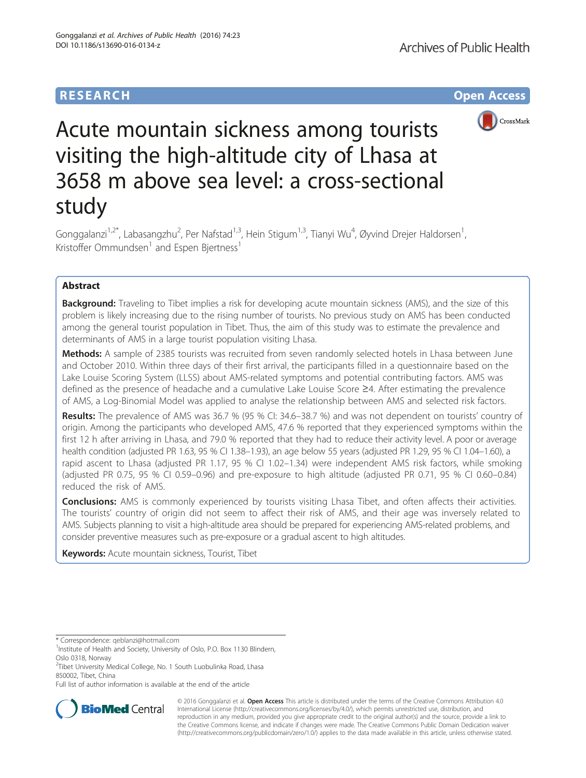# **RESEARCH CHE Open Access**



# Acute mountain sickness among tourists visiting the high-altitude city of Lhasa at 3658 m above sea level: a cross-sectional study

Gonggalanzi<sup>1,2\*</sup>, Labasangzhu<sup>2</sup>, Per Nafstad<sup>1,3</sup>, Hein Stigum<sup>1,3</sup>, Tianyi Wu<sup>4</sup>, Øyvind Drejer Haldorsen<sup>1</sup> , Kristoffer Ommundsen<sup>1</sup> and Espen Biertness<sup>1</sup>

# Abstract

**Background:** Traveling to Tibet implies a risk for developing acute mountain sickness (AMS), and the size of this problem is likely increasing due to the rising number of tourists. No previous study on AMS has been conducted among the general tourist population in Tibet. Thus, the aim of this study was to estimate the prevalence and determinants of AMS in a large tourist population visiting Lhasa.

Methods: A sample of 2385 tourists was recruited from seven randomly selected hotels in Lhasa between June and October 2010. Within three days of their first arrival, the participants filled in a questionnaire based on the Lake Louise Scoring System (LLSS) about AMS-related symptoms and potential contributing factors. AMS was defined as the presence of headache and a cumulative Lake Louise Score ≥4. After estimating the prevalence of AMS, a Log-Binomial Model was applied to analyse the relationship between AMS and selected risk factors.

Results: The prevalence of AMS was 36.7 % (95 % CI: 34.6–38.7 %) and was not dependent on tourists' country of origin. Among the participants who developed AMS, 47.6 % reported that they experienced symptoms within the first 12 h after arriving in Lhasa, and 79.0 % reported that they had to reduce their activity level. A poor or average health condition (adjusted PR 1.63, 95 % CI 1.38–1.93), an age below 55 years (adjusted PR 1.29, 95 % CI 1.04–1.60), a rapid ascent to Lhasa (adjusted PR 1.17, 95 % CI 1.02–1.34) were independent AMS risk factors, while smoking (adjusted PR 0.75, 95 % CI 0.59–0.96) and pre-exposure to high altitude (adjusted PR 0.71, 95 % CI 0.60–0.84) reduced the risk of AMS.

**Conclusions:** AMS is commonly experienced by tourists visiting Lhasa Tibet, and often affects their activities. The tourists' country of origin did not seem to affect their risk of AMS, and their age was inversely related to AMS. Subjects planning to visit a high-altitude area should be prepared for experiencing AMS-related problems, and consider preventive measures such as pre-exposure or a gradual ascent to high altitudes.

Keywords: Acute mountain sickness, Tourist, Tibet

Full list of author information is available at the end of the article



© 2016 Gonggalanzi et al. Open Access This article is distributed under the terms of the Creative Commons Attribution 4.0 International License [\(http://creativecommons.org/licenses/by/4.0/](http://creativecommons.org/licenses/by/4.0/)), which permits unrestricted use, distribution, and reproduction in any medium, provided you give appropriate credit to the original author(s) and the source, provide a link to the Creative Commons license, and indicate if changes were made. The Creative Commons Public Domain Dedication waiver [\(http://creativecommons.org/publicdomain/zero/1.0/](http://creativecommons.org/publicdomain/zero/1.0/)) applies to the data made available in this article, unless otherwise stated.

<sup>\*</sup> Correspondence: [qeblanzi@hotmail.com](mailto:qeblanzi@hotmail.com) <sup>1</sup>

<sup>&</sup>lt;sup>1</sup> Institute of Health and Society, University of Oslo, P.O. Box 1130 Blindern, Oslo 0318, Norway

<sup>&</sup>lt;sup>2</sup>Tibet University Medical College, No. 1 South Luobulinka Road, Lhasa 850002, Tibet, China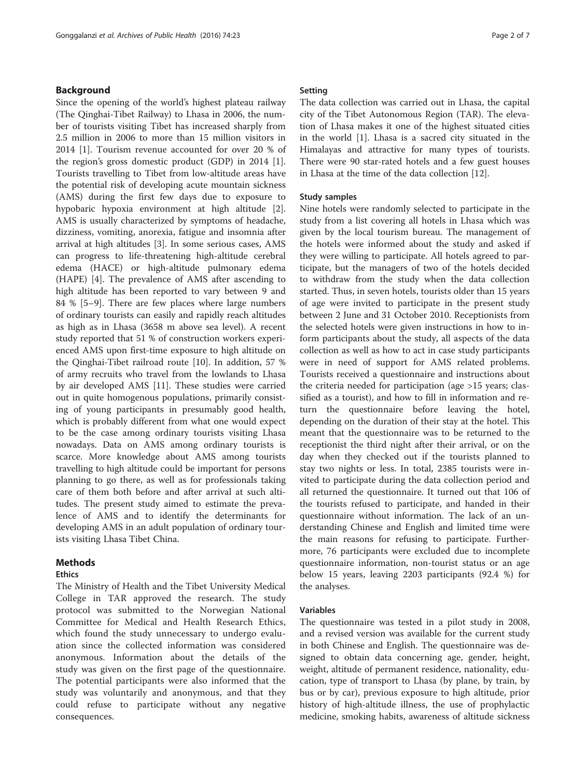# Background

Since the opening of the world's highest plateau railway (The Qinghai-Tibet Railway) to Lhasa in 2006, the number of tourists visiting Tibet has increased sharply from 2.5 million in 2006 to more than 15 million visitors in 2014 [[1\]](#page-6-0). Tourism revenue accounted for over 20 % of the region's gross domestic product (GDP) in 2014 [\[1](#page-6-0)]. Tourists travelling to Tibet from low-altitude areas have the potential risk of developing acute mountain sickness (AMS) during the first few days due to exposure to hypobaric hypoxia environment at high altitude [\[2](#page-6-0)]. AMS is usually characterized by symptoms of headache, dizziness, vomiting, anorexia, fatigue and insomnia after arrival at high altitudes [[3\]](#page-6-0). In some serious cases, AMS can progress to life-threatening high-altitude cerebral edema (HACE) or high-altitude pulmonary edema (HAPE) [\[4\]](#page-6-0). The prevalence of AMS after ascending to high altitude has been reported to vary between 9 and 84 % [[5](#page-6-0)–[9\]](#page-6-0). There are few places where large numbers of ordinary tourists can easily and rapidly reach altitudes as high as in Lhasa (3658 m above sea level). A recent study reported that 51 % of construction workers experienced AMS upon first-time exposure to high altitude on the Qinghai-Tibet railroad route [[10\]](#page-6-0). In addition, 57 % of army recruits who travel from the lowlands to Lhasa by air developed AMS [[11\]](#page-6-0). These studies were carried out in quite homogenous populations, primarily consisting of young participants in presumably good health, which is probably different from what one would expect to be the case among ordinary tourists visiting Lhasa nowadays. Data on AMS among ordinary tourists is scarce. More knowledge about AMS among tourists travelling to high altitude could be important for persons planning to go there, as well as for professionals taking care of them both before and after arrival at such altitudes. The present study aimed to estimate the prevalence of AMS and to identify the determinants for developing AMS in an adult population of ordinary tourists visiting Lhasa Tibet China.

### Methods

# Ethics

The Ministry of Health and the Tibet University Medical College in TAR approved the research. The study protocol was submitted to the Norwegian National Committee for Medical and Health Research Ethics, which found the study unnecessary to undergo evaluation since the collected information was considered anonymous. Information about the details of the study was given on the first page of the questionnaire. The potential participants were also informed that the study was voluntarily and anonymous, and that they could refuse to participate without any negative consequences.

# Setting

The data collection was carried out in Lhasa, the capital city of the Tibet Autonomous Region (TAR). The elevation of Lhasa makes it one of the highest situated cities in the world [\[1](#page-6-0)]. Lhasa is a sacred city situated in the Himalayas and attractive for many types of tourists. There were 90 star-rated hotels and a few guest houses in Lhasa at the time of the data collection [\[12](#page-6-0)].

## Study samples

Nine hotels were randomly selected to participate in the study from a list covering all hotels in Lhasa which was given by the local tourism bureau. The management of the hotels were informed about the study and asked if they were willing to participate. All hotels agreed to participate, but the managers of two of the hotels decided to withdraw from the study when the data collection started. Thus, in seven hotels, tourists older than 15 years of age were invited to participate in the present study between 2 June and 31 October 2010. Receptionists from the selected hotels were given instructions in how to inform participants about the study, all aspects of the data collection as well as how to act in case study participants were in need of support for AMS related problems. Tourists received a questionnaire and instructions about the criteria needed for participation (age >15 years; classified as a tourist), and how to fill in information and return the questionnaire before leaving the hotel, depending on the duration of their stay at the hotel. This meant that the questionnaire was to be returned to the receptionist the third night after their arrival, or on the day when they checked out if the tourists planned to stay two nights or less. In total, 2385 tourists were invited to participate during the data collection period and all returned the questionnaire. It turned out that 106 of the tourists refused to participate, and handed in their questionnaire without information. The lack of an understanding Chinese and English and limited time were the main reasons for refusing to participate. Furthermore, 76 participants were excluded due to incomplete questionnaire information, non-tourist status or an age below 15 years, leaving 2203 participants (92.4 %) for the analyses.

# Variables

The questionnaire was tested in a pilot study in 2008, and a revised version was available for the current study in both Chinese and English. The questionnaire was designed to obtain data concerning age, gender, height, weight, altitude of permanent residence, nationality, education, type of transport to Lhasa (by plane, by train, by bus or by car), previous exposure to high altitude, prior history of high-altitude illness, the use of prophylactic medicine, smoking habits, awareness of altitude sickness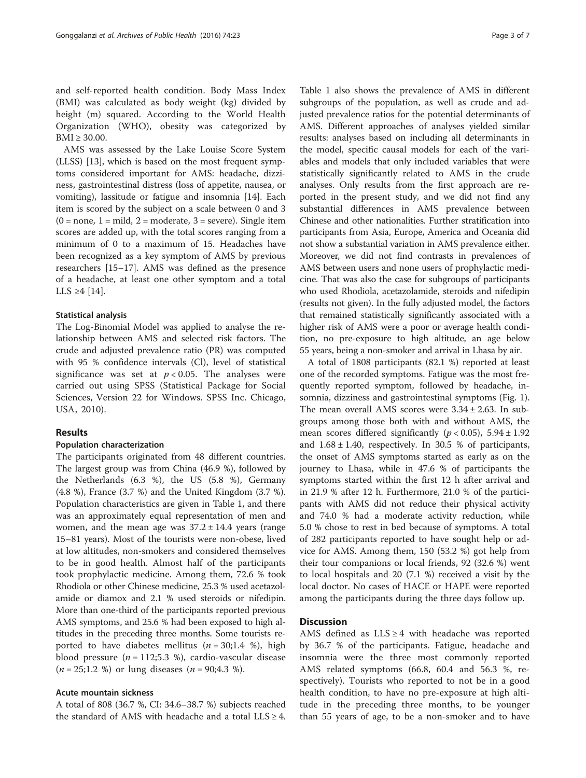and self-reported health condition. Body Mass Index (BMI) was calculated as body weight (kg) divided by height (m) squared. According to the World Health Organization (WHO), obesity was categorized by  $BMI \geq 30.00$ .

AMS was assessed by the Lake Louise Score System (LLSS) [[13\]](#page-6-0), which is based on the most frequent symptoms considered important for AMS: headache, dizziness, gastrointestinal distress (loss of appetite, nausea, or vomiting), lassitude or fatigue and insomnia [\[14](#page-6-0)]. Each item is scored by the subject on a scale between 0 and 3  $(0 = none, 1 = mild, 2 = moderate, 3 = severe)$ . Single item scores are added up, with the total scores ranging from a minimum of 0 to a maximum of 15. Headaches have been recognized as a key symptom of AMS by previous researchers [\[15](#page-6-0)–[17\]](#page-6-0). AMS was defined as the presence of a headache, at least one other symptom and a total LLS ≥4 [\[14](#page-6-0)].

#### Statistical analysis

The Log-Binomial Model was applied to analyse the relationship between AMS and selected risk factors. The crude and adjusted prevalence ratio (PR) was computed with 95 % confidence intervals (Cl), level of statistical significance was set at  $p < 0.05$ . The analyses were carried out using SPSS (Statistical Package for Social Sciences, Version 22 for Windows. SPSS Inc. Chicago, USA, 2010).

#### Results

#### Population characterization

The participants originated from 48 different countries. The largest group was from China (46.9 %), followed by the Netherlands (6.3 %), the US (5.8 %), Germany (4.8 %), France (3.7 %) and the United Kingdom (3.7 %). Population characteristics are given in Table [1](#page-3-0), and there was an approximately equal representation of men and women, and the mean age was  $37.2 \pm 14.4$  years (range 15–81 years). Most of the tourists were non-obese, lived at low altitudes, non-smokers and considered themselves to be in good health. Almost half of the participants took prophylactic medicine. Among them, 72.6 % took Rhodiola or other Chinese medicine, 25.3 % used acetazolamide or diamox and 2.1 % used steroids or nifedipin. More than one-third of the participants reported previous AMS symptoms, and 25.6 % had been exposed to high altitudes in the preceding three months. Some tourists reported to have diabetes mellitus ( $n = 30;1.4$  %), high blood pressure  $(n = 112, 5.3 \%)$ , cardio-vascular disease  $(n = 25; 1.2 \%)$  or lung diseases  $(n = 90; 4.3 \%)$ .

#### Acute mountain sickness

A total of 808 (36.7 %, CI: 34.6–38.7 %) subjects reached the standard of AMS with headache and a total  $LLS \geq 4$ .

Table [1](#page-3-0) also shows the prevalence of AMS in different subgroups of the population, as well as crude and adjusted prevalence ratios for the potential determinants of AMS. Different approaches of analyses yielded similar results: analyses based on including all determinants in the model, specific causal models for each of the variables and models that only included variables that were statistically significantly related to AMS in the crude analyses. Only results from the first approach are reported in the present study, and we did not find any substantial differences in AMS prevalence between Chinese and other nationalities. Further stratification into participants from Asia, Europe, America and Oceania did not show a substantial variation in AMS prevalence either. Moreover, we did not find contrasts in prevalences of AMS between users and none users of prophylactic medicine. That was also the case for subgroups of participants who used Rhodiola, acetazolamide, steroids and nifedipin (results not given). In the fully adjusted model, the factors that remained statistically significantly associated with a higher risk of AMS were a poor or average health condition, no pre-exposure to high altitude, an age below 55 years, being a non-smoker and arrival in Lhasa by air.

A total of 1808 participants (82.1 %) reported at least one of the recorded symptoms. Fatigue was the most frequently reported symptom, followed by headache, insomnia, dizziness and gastrointestinal symptoms (Fig. [1](#page-4-0)). The mean overall AMS scores were  $3.34 \pm 2.63$ . In subgroups among those both with and without AMS, the mean scores differed significantly ( $p < 0.05$ ), 5.94 ± 1.92 and  $1.68 \pm 1.40$ , respectively. In 30.5 % of participants, the onset of AMS symptoms started as early as on the journey to Lhasa, while in 47.6 % of participants the symptoms started within the first 12 h after arrival and in 21.9 % after 12 h. Furthermore, 21.0 % of the participants with AMS did not reduce their physical activity and 74.0 % had a moderate activity reduction, while 5.0 % chose to rest in bed because of symptoms. A total of 282 participants reported to have sought help or advice for AMS. Among them, 150 (53.2 %) got help from their tour companions or local friends, 92 (32.6 %) went to local hospitals and 20 (7.1 %) received a visit by the local doctor. No cases of HACE or HAPE were reported among the participants during the three days follow up.

# **Discussion**

AMS defined as  $LLS \geq 4$  with headache was reported by 36.7 % of the participants. Fatigue, headache and insomnia were the three most commonly reported AMS related symptoms (66.8, 60.4 and 56.3 %, respectively). Tourists who reported to not be in a good health condition, to have no pre-exposure at high altitude in the preceding three months, to be younger than 55 years of age, to be a non-smoker and to have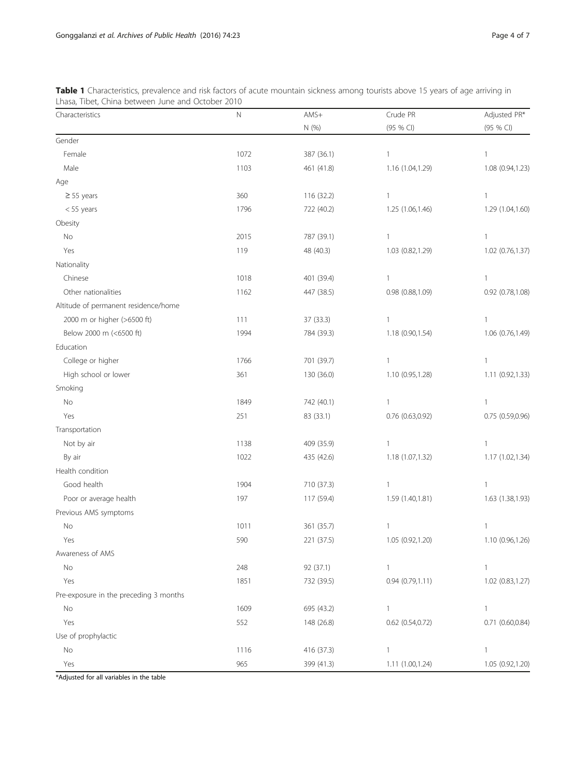| Characteristics                        | $\hbox{N}$ | $AMS+$     | Crude PR         | Adjusted PR*     |
|----------------------------------------|------------|------------|------------------|------------------|
|                                        |            | N (%)      | (95 % CI)        | (95 % CI)        |
| Gender                                 |            |            |                  |                  |
| Female                                 | 1072       | 387 (36.1) | $\mathbf{1}$     | 1                |
| Male                                   | 1103       | 461 (41.8) | 1.16 (1.04,1.29) | 1.08 (0.94,1.23) |
| Age                                    |            |            |                  |                  |
| $\geq$ 55 years                        | 360        | 116 (32.2) | $\mathbf{1}$     | 1                |
| $<$ 55 years                           | 1796       | 722 (40.2) | 1.25 (1.06,1.46) | 1.29 (1.04,1.60) |
| Obesity                                |            |            |                  |                  |
| No                                     | 2015       | 787 (39.1) | $\mathbf{1}$     | $\mathbf{1}$     |
| Yes                                    | 119        | 48 (40.3)  | 1.03 (0.82,1.29) | 1.02 (0.76,1.37) |
| Nationality                            |            |            |                  |                  |
| Chinese                                | 1018       | 401 (39.4) | $\mathbf{1}$     | 1                |
| Other nationalities                    | 1162       | 447 (38.5) | 0.98 (0.88,1.09) | 0.92 (0.78,1.08) |
| Altitude of permanent residence/home   |            |            |                  |                  |
| 2000 m or higher (>6500 ft)            | 111        | 37 (33.3)  | $\mathbf{1}$     | 1                |
| Below 2000 m (<6500 ft)                | 1994       | 784 (39.3) | 1.18 (0.90,1.54) | 1.06 (0.76,1.49) |
| Education                              |            |            |                  |                  |
| College or higher                      | 1766       | 701 (39.7) | $\mathbf{1}$     | 1                |
| High school or lower                   | 361        | 130 (36.0) | 1.10 (0.95,1.28) | 1.11 (0.92,1.33) |
| Smoking                                |            |            |                  |                  |
| $\rm No$                               | 1849       | 742 (40.1) | $\mathbf{1}$     | 1                |
| Yes                                    | 251        | 83 (33.1)  | 0.76 (0.63,0.92) | 0.75 (0.59,0.96) |
| Transportation                         |            |            |                  |                  |
| Not by air                             | 1138       | 409 (35.9) | $\mathbf{1}$     | 1                |
| By air                                 | 1022       | 435 (42.6) | 1.18 (1.07,1.32) | 1.17 (1.02,1.34) |
| Health condition                       |            |            |                  |                  |
| Good health                            | 1904       | 710 (37.3) | $\mathbf{1}$     | 1                |
| Poor or average health                 | 197        | 117 (59.4) | 1.59 (1.40,1.81) | 1.63 (1.38,1.93) |
| Previous AMS symptoms                  |            |            |                  |                  |
| $\rm No$                               | 1011       | 361 (35.7) | $\mathbf{1}$     | 1                |
| Yes                                    | 590        | 221 (37.5) | 1.05 (0.92,1.20) | 1.10 (0.96,1.26) |
| Awareness of AMS                       |            |            |                  |                  |
| No                                     | 248        | 92 (37.1)  | $\mathbf{1}$     | 1                |
| Yes                                    | 1851       | 732 (39.5) | 0.94(0.79,1.11)  | 1.02 (0.83,1.27) |
| Pre-exposure in the preceding 3 months |            |            |                  |                  |
| No                                     | 1609       | 695 (43.2) | $\mathbf{1}$     | 1                |
| Yes                                    | 552        | 148 (26.8) | 0.62 (0.54,0.72) | 0.71 (0.60,0.84) |
| Use of prophylactic                    |            |            |                  |                  |
| No                                     | 1116       | 416 (37.3) | $\mathbf{1}$     | 1                |
| Yes                                    | 965        | 399 (41.3) | 1.11 (1.00,1.24) | 1.05 (0.92,1.20) |

<span id="page-3-0"></span>

| Table 1 Characteristics, prevalence and risk factors of acute mountain sickness among tourists above 15 years of age arriving in |  |  |  |
|----------------------------------------------------------------------------------------------------------------------------------|--|--|--|
| Lhasa, Tibet, China between June and October 2010                                                                                |  |  |  |

\*Adjusted for all variables in the table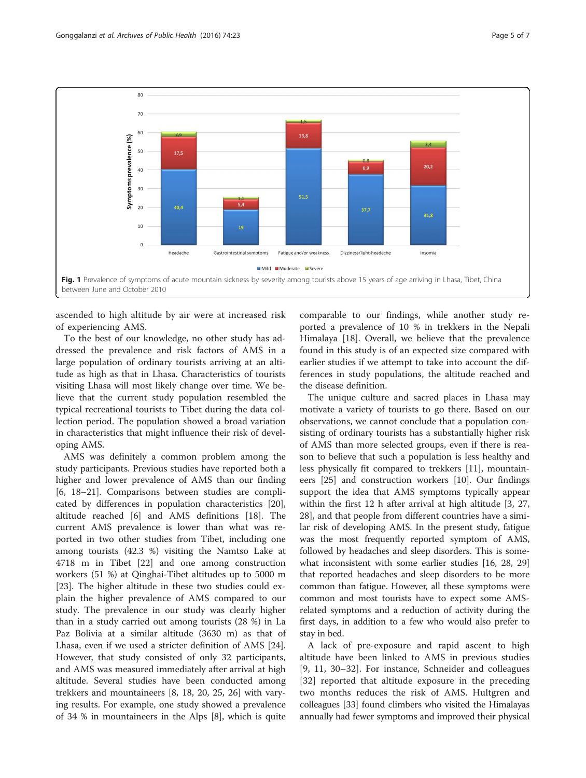<span id="page-4-0"></span>

ascended to high altitude by air were at increased risk of experiencing AMS.

To the best of our knowledge, no other study has addressed the prevalence and risk factors of AMS in a large population of ordinary tourists arriving at an altitude as high as that in Lhasa. Characteristics of tourists visiting Lhasa will most likely change over time. We believe that the current study population resembled the typical recreational tourists to Tibet during the data collection period. The population showed a broad variation in characteristics that might influence their risk of developing AMS.

AMS was definitely a common problem among the study participants. Previous studies have reported both a higher and lower prevalence of AMS than our finding [[6, 18](#page-6-0)–[21\]](#page-6-0). Comparisons between studies are complicated by differences in population characteristics [\[20](#page-6-0)], altitude reached [[6\]](#page-6-0) and AMS definitions [[18](#page-6-0)]. The current AMS prevalence is lower than what was reported in two other studies from Tibet, including one among tourists (42.3 %) visiting the Namtso Lake at 4718 m in Tibet [[22\]](#page-6-0) and one among construction workers (51 %) at Qinghai-Tibet altitudes up to 5000 m [[23\]](#page-6-0). The higher altitude in these two studies could explain the higher prevalence of AMS compared to our study. The prevalence in our study was clearly higher than in a study carried out among tourists (28 %) in La Paz Bolivia at a similar altitude (3630 m) as that of Lhasa, even if we used a stricter definition of AMS [\[24](#page-6-0)]. However, that study consisted of only 32 participants, and AMS was measured immediately after arrival at high altitude. Several studies have been conducted among trekkers and mountaineers [[8](#page-6-0), [18, 20, 25](#page-6-0), [26\]](#page-6-0) with varying results. For example, one study showed a prevalence of 34 % in mountaineers in the Alps [[8\]](#page-6-0), which is quite comparable to our findings, while another study reported a prevalence of 10 % in trekkers in the Nepali Himalaya [\[18\]](#page-6-0). Overall, we believe that the prevalence found in this study is of an expected size compared with earlier studies if we attempt to take into account the differences in study populations, the altitude reached and the disease definition.

The unique culture and sacred places in Lhasa may motivate a variety of tourists to go there. Based on our observations, we cannot conclude that a population consisting of ordinary tourists has a substantially higher risk of AMS than more selected groups, even if there is reason to believe that such a population is less healthy and less physically fit compared to trekkers [\[11](#page-6-0)], mountaineers [\[25\]](#page-6-0) and construction workers [\[10](#page-6-0)]. Our findings support the idea that AMS symptoms typically appear within the first 12 h after arrival at high altitude [[3, 27](#page-6-0), [28\]](#page-6-0), and that people from different countries have a similar risk of developing AMS. In the present study, fatigue was the most frequently reported symptom of AMS, followed by headaches and sleep disorders. This is somewhat inconsistent with some earlier studies [\[16](#page-6-0), [28](#page-6-0), [29](#page-6-0)] that reported headaches and sleep disorders to be more common than fatigue. However, all these symptoms were common and most tourists have to expect some AMSrelated symptoms and a reduction of activity during the first days, in addition to a few who would also prefer to stay in bed.

A lack of pre-exposure and rapid ascent to high altitude have been linked to AMS in previous studies [[9, 11](#page-6-0), [30](#page-6-0)–[32](#page-6-0)]. For instance, Schneider and colleagues [[32\]](#page-6-0) reported that altitude exposure in the preceding two months reduces the risk of AMS. Hultgren and colleagues [[33](#page-6-0)] found climbers who visited the Himalayas annually had fewer symptoms and improved their physical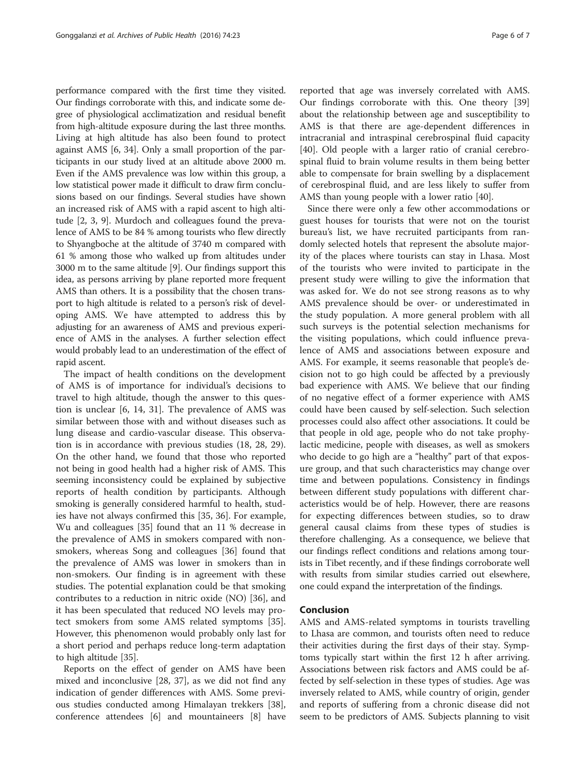performance compared with the first time they visited. Our findings corroborate with this, and indicate some degree of physiological acclimatization and residual benefit from high-altitude exposure during the last three months. Living at high altitude has also been found to protect against AMS [[6](#page-6-0), [34\]](#page-6-0). Only a small proportion of the participants in our study lived at an altitude above 2000 m. Even if the AMS prevalence was low within this group, a low statistical power made it difficult to draw firm conclusions based on our findings. Several studies have shown an increased risk of AMS with a rapid ascent to high altitude [\[2](#page-6-0), [3](#page-6-0), [9\]](#page-6-0). Murdoch and colleagues found the prevalence of AMS to be 84 % among tourists who flew directly to Shyangboche at the altitude of 3740 m compared with 61 % among those who walked up from altitudes under 3000 m to the same altitude [[9](#page-6-0)]. Our findings support this idea, as persons arriving by plane reported more frequent AMS than others. It is a possibility that the chosen transport to high altitude is related to a person's risk of developing AMS. We have attempted to address this by adjusting for an awareness of AMS and previous experience of AMS in the analyses. A further selection effect would probably lead to an underestimation of the effect of rapid ascent.

The impact of health conditions on the development of AMS is of importance for individual's decisions to travel to high altitude, though the answer to this question is unclear [[6](#page-6-0), [14](#page-6-0), [31](#page-6-0)]. The prevalence of AMS was similar between those with and without diseases such as lung disease and cardio-vascular disease. This observation is in accordance with previous studies (18, 28, 29). On the other hand, we found that those who reported not being in good health had a higher risk of AMS. This seeming inconsistency could be explained by subjective reports of health condition by participants. Although smoking is generally considered harmful to health, studies have not always confirmed this [\[35](#page-6-0), [36](#page-6-0)]. For example, Wu and colleagues [[35\]](#page-6-0) found that an 11 % decrease in the prevalence of AMS in smokers compared with nonsmokers, whereas Song and colleagues [[36](#page-6-0)] found that the prevalence of AMS was lower in smokers than in non-smokers. Our finding is in agreement with these studies. The potential explanation could be that smoking contributes to a reduction in nitric oxide (NO) [\[36\]](#page-6-0), and it has been speculated that reduced NO levels may protect smokers from some AMS related symptoms [\[35](#page-6-0)]. However, this phenomenon would probably only last for a short period and perhaps reduce long-term adaptation to high altitude [[35](#page-6-0)].

Reports on the effect of gender on AMS have been mixed and inconclusive [\[28](#page-6-0), [37\]](#page-6-0), as we did not find any indication of gender differences with AMS. Some previous studies conducted among Himalayan trekkers [\[38](#page-6-0)], conference attendees [[6\]](#page-6-0) and mountaineers [\[8](#page-6-0)] have

reported that age was inversely correlated with AMS. Our findings corroborate with this. One theory [[39](#page-6-0)] about the relationship between age and susceptibility to AMS is that there are age-dependent differences in intracranial and intraspinal cerebrospinal fluid capacity [[40\]](#page-6-0). Old people with a larger ratio of cranial cerebrospinal fluid to brain volume results in them being better able to compensate for brain swelling by a displacement of cerebrospinal fluid, and are less likely to suffer from AMS than young people with a lower ratio [[40](#page-6-0)].

Since there were only a few other accommodations or guest houses for tourists that were not on the tourist bureau's list, we have recruited participants from randomly selected hotels that represent the absolute majority of the places where tourists can stay in Lhasa. Most of the tourists who were invited to participate in the present study were willing to give the information that was asked for. We do not see strong reasons as to why AMS prevalence should be over- or underestimated in the study population. A more general problem with all such surveys is the potential selection mechanisms for the visiting populations, which could influence prevalence of AMS and associations between exposure and AMS. For example, it seems reasonable that people's decision not to go high could be affected by a previously bad experience with AMS. We believe that our finding of no negative effect of a former experience with AMS could have been caused by self-selection. Such selection processes could also affect other associations. It could be that people in old age, people who do not take prophylactic medicine, people with diseases, as well as smokers who decide to go high are a "healthy" part of that exposure group, and that such characteristics may change over time and between populations. Consistency in findings between different study populations with different characteristics would be of help. However, there are reasons for expecting differences between studies, so to draw general causal claims from these types of studies is therefore challenging. As a consequence, we believe that our findings reflect conditions and relations among tourists in Tibet recently, and if these findings corroborate well with results from similar studies carried out elsewhere, one could expand the interpretation of the findings.

# Conclusion

AMS and AMS-related symptoms in tourists travelling to Lhasa are common, and tourists often need to reduce their activities during the first days of their stay. Symptoms typically start within the first 12 h after arriving. Associations between risk factors and AMS could be affected by self-selection in these types of studies. Age was inversely related to AMS, while country of origin, gender and reports of suffering from a chronic disease did not seem to be predictors of AMS. Subjects planning to visit